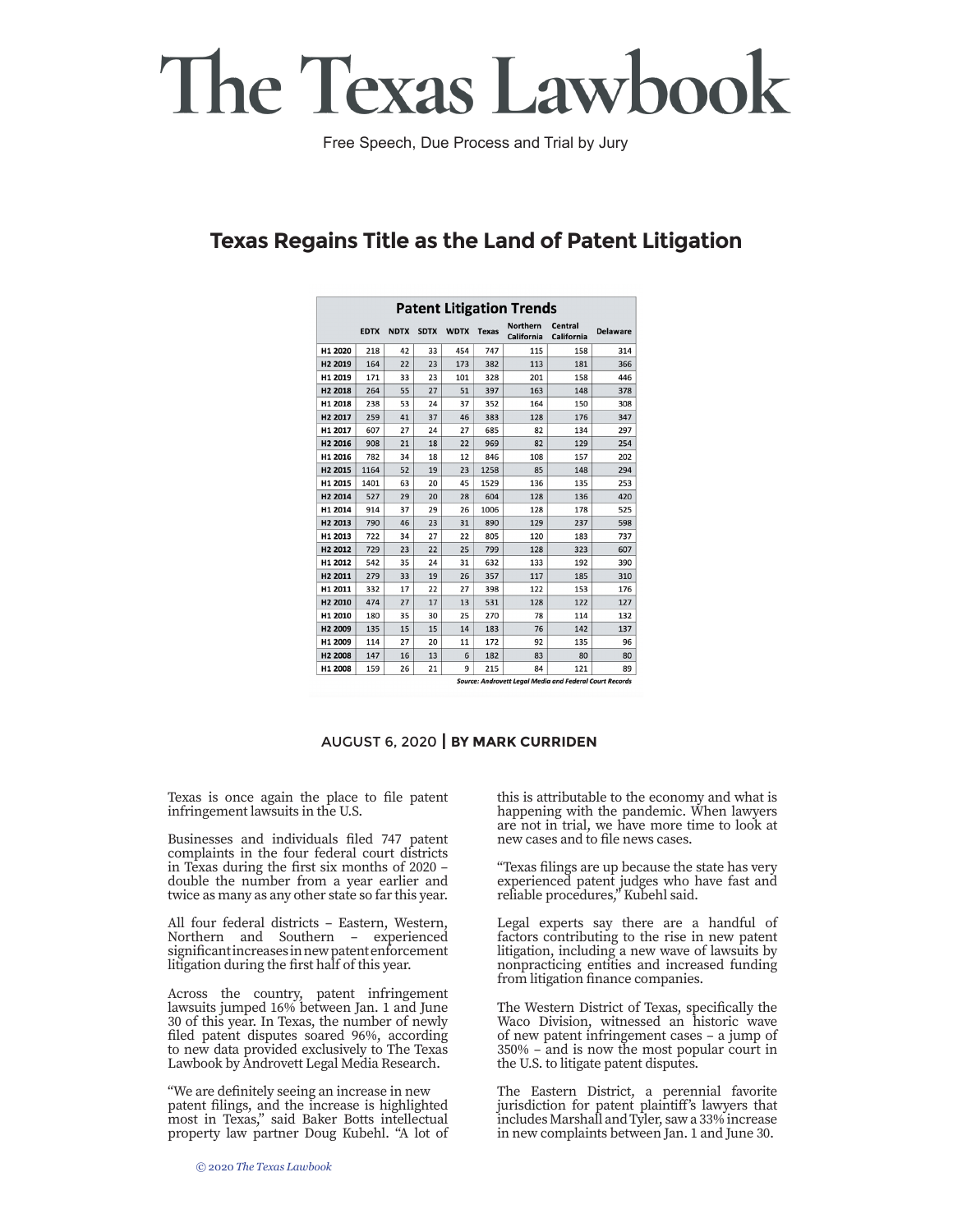# The Texas Lawbook

Free Speech, Due Process and Trial by Jury

### **Texas Regains Title as the Land of Patent Litigation**

| <b>Patent Litigation Trends</b> |                                                                |             |             |             |              |                               |                       |                 |  |
|---------------------------------|----------------------------------------------------------------|-------------|-------------|-------------|--------------|-------------------------------|-----------------------|-----------------|--|
|                                 | <b>EDTX</b>                                                    | <b>NDTX</b> | <b>SDTX</b> | <b>WDTX</b> | <b>Texas</b> | <b>Northern</b><br>California | Central<br>California | <b>Delaware</b> |  |
| H1 2020                         | 218                                                            | 42          | 33          | 454         | 747          | 115                           | 158                   | 314             |  |
| H <sub>2</sub> 2019             | 164                                                            | 22          | 23          | 173         | 382          | 113                           | 181                   | 366             |  |
| H1 2019                         | 171                                                            | 33          | 23          | 101         | 328          | 201                           | 158                   | 446             |  |
| H <sub>2</sub> 2018             | 264                                                            | 55          | 27          | 51          | 397          | 163                           | 148                   | 378             |  |
| H1 2018                         | 238                                                            | 53          | 24          | 37          | 352          | 164                           | 150                   | 308             |  |
| H <sub>2</sub> 2017             | 259                                                            | 41          | 37          | 46          | 383          | 128                           | 176                   | 347             |  |
| H1 2017                         | 607                                                            | 27          | 24          | 27          | 685          | 82                            | 134                   | 297             |  |
| H <sub>2</sub> 2016             | 908                                                            | 21          | 18          | 22          | 969          | 82                            | 129                   | 254             |  |
| H1 2016                         | 782                                                            | 34          | 18          | 12          | 846          | 108                           | 157                   | 202             |  |
| H <sub>2</sub> 2015             | 1164                                                           | 52          | 19          | 23          | 1258         | 85                            | 148                   | 294             |  |
| H1 2015                         | 1401                                                           | 63          | 20          | 45          | 1529         | 136                           | 135                   | 253             |  |
| H <sub>2</sub> 2014             | 527                                                            | 29          | 20          | 28          | 604          | 128                           | 136                   | 420             |  |
| H1 2014                         | 914                                                            | 37          | 29          | 26          | 1006         | 128                           | 178                   | 525             |  |
| H <sub>2</sub> 2013             | 790                                                            | 46          | 23          | 31          | 890          | 129                           | 237                   | 598             |  |
| H1 2013                         | 722                                                            | 34          | 27          | 22          | 805          | 120                           | 183                   | 737             |  |
| H <sub>2</sub> 2012             | 729                                                            | 23          | 22          | 25          | 799          | 128                           | 323                   | 607             |  |
| H1 2012                         | 542                                                            | 35          | 24          | 31          | 632          | 133                           | 192                   | 390             |  |
| H <sub>2</sub> 2011             | 279                                                            | 33          | 19          | 26          | 357          | 117                           | 185                   | 310             |  |
| H1 2011                         | 332                                                            | 17          | 22          | 27          | 398          | 122                           | 153                   | 176             |  |
| H <sub>2</sub> 2010             | 474                                                            | 27          | 17          | 13          | 531          | 128                           | 122                   | 127             |  |
| H1 2010                         | 180                                                            | 35          | 30          | 25          | 270          | 78                            | 114                   | 132             |  |
| H <sub>2</sub> 2009             | 135                                                            | 15          | 15          | 14          | 183          | 76                            | 142                   | 137             |  |
| H1 2009                         | 114                                                            | 27          | 20          | 11          | 172          | 92                            | 135                   | 96              |  |
| H <sub>2</sub> 2008             | 147                                                            | 16          | 13          | 6           | 182          | 83                            | 80                    | 80              |  |
| H1 2008                         | 159                                                            | 26          | 21          | 9           | 215          | 84                            | 121                   | 89              |  |
|                                 | <b>Source: Androvett Legal Media and Federal Court Records</b> |             |             |             |              |                               |                       |                 |  |

#### AUGUST 6, 2020 **| BY MARK CURRIDEN**

Texas is once again the place to file patent infringement lawsuits in the U.S.

Businesses and individuals filed 747 patent complaints in the four federal court districts in Texas during the first six months of 2020 – double the number from a year earlier and twice as many as any other state so far this year.

All four federal districts – Eastern, Western, Northern and Southern – experienced significant increases in new patent enforcement litigation during the first half of this year.

Across the country, patent infringement lawsuits jumped 16% between Jan. 1 and June 30 of this year. In Texas, the number of newly filed patent disputes soared 96%, according to new data provided exclusively to The Texas Lawbook by Androvett Legal Media Research.

"We are definitely seeing an increase in new patent filings, and the increase is highlighted most in Texas," said Baker Botts intellectual property law partner Doug Kubehl. "A lot of

this is attributable to the economy and what is happening with the pandemic. When lawyers are not in trial, we have more time to look at new cases and to file news cases.

"Texas filings are up because the state has very experienced patent judges who have fast and reliable procedures," Kubehl said.

Legal experts say there are a handful of factors contributing to the rise in new patent litigation, including a new wave of lawsuits by nonpracticing entities and increased funding from litigation finance companies.

The Western District of Texas, specifically the Waco Division, witnessed an historic wave of new patent infringement cases – a jump of 350% – and is now the most popular court in the U.S. to litigate patent disputes.

The Eastern District, a perennial favorite jurisdiction for patent plaintiff's lawyers that includes Marshall and Tyler, saw a 33% increase in new complaints between Jan. 1 and June 30.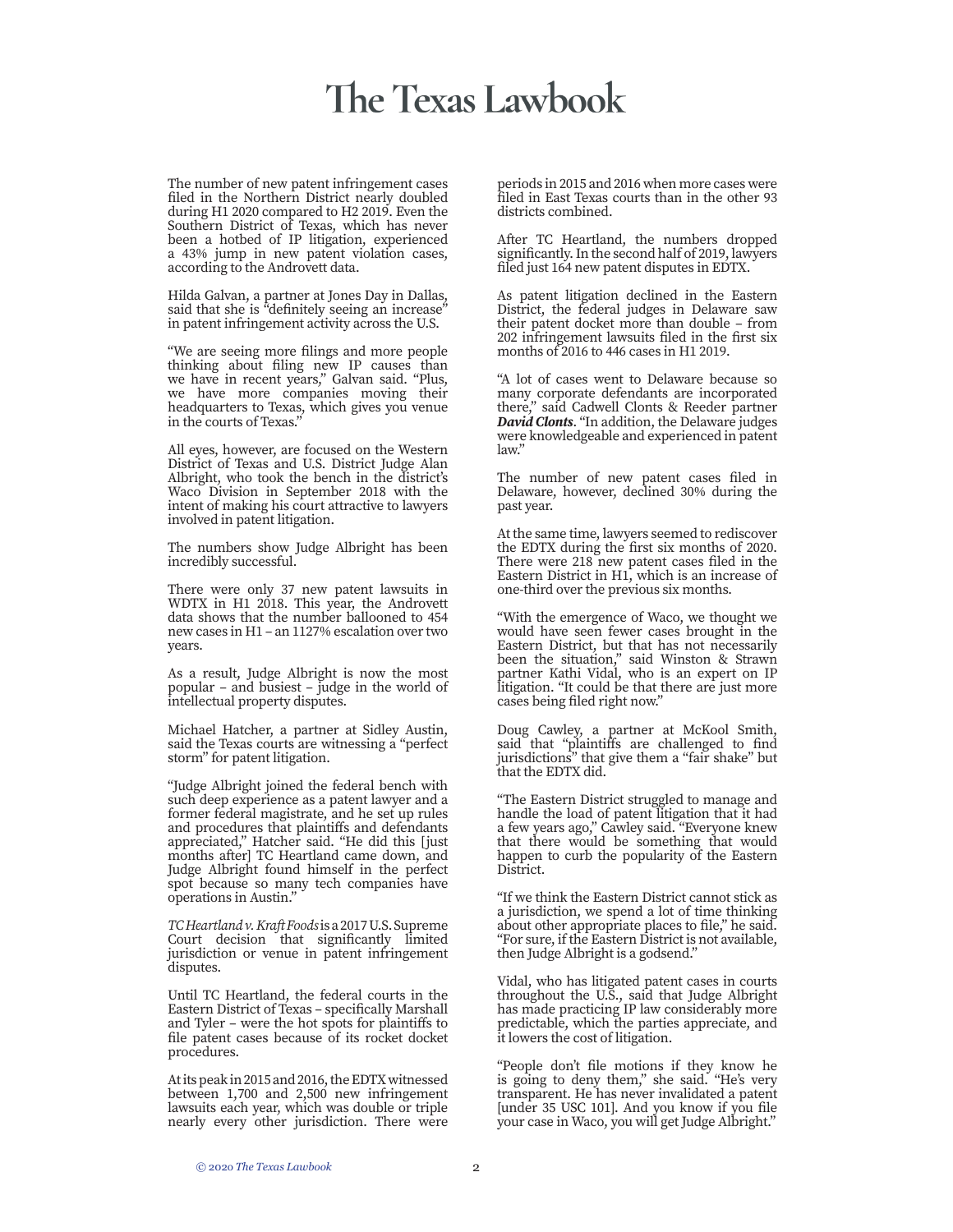## **The Texas Lawbook**

The number of new patent infringement cases filed in the Northern District nearly doubled during H1 2020 compared to H2 2019. Even the Southern District of Texas, which has never been a hotbed of IP litigation, experienced a 43% jump in new patent violation cases, according to the Androvett data.

Hilda Galvan, a partner at Jones Day in Dallas, said that she is "definitely seeing an increase" in patent infringement activity across the U.S.

"We are seeing more filings and more people thinking about filing new IP causes than we have in recent years," Galvan said. "Plus, we have more companies moving their headquarters to Texas, which gives you venue in the courts of Texas."

All eyes, however, are focused on the Western District of Texas and U.S. District Judge Alan Albright, who took the bench in the district's Waco Division in September 2018 with the intent of making his court attractive to lawyers involved in patent litigation.

The numbers show Judge Albright has been incredibly successful.

There were only 37 new patent lawsuits in WDTX in H1 2018. This year, the Androvett data shows that the number ballooned to 454 new cases in H1 – an 1127% escalation over two years.

As a result, Judge Albright is now the most popular – and busiest – judge in the world of intellectual property disputes.

Michael Hatcher, a partner at Sidley Austin, said the Texas courts are witnessing a "perfect storm" for patent litigation.

"Judge Albright joined the federal bench with such deep experience as a patent lawyer and a former federal magistrate, and he set up rules and procedures that plaintiffs and defendants appreciated," Hatcher said. "He did this [just months after] TC Heartland came down, and Judge Albright found himself in the perfect spot because so many tech companies have operations in Austin."

*TC Heartland v. Kraft Foods* is a 2017 U.S. Supreme Court decision that significantly limited jurisdiction or venue in patent infringement disputes.

Until TC Heartland, the federal courts in the Eastern District of Texas – specifically Marshall and Tyler – were the hot spots for plaintiffs to file patent cases because of its rocket docket procedures.

At its peak in 2015 and 2016, the EDTX witnessed between 1,700 and 2,500 new infringement lawsuits each year, which was double or triple nearly every other jurisdiction. There were

periods in 2015 and 2016 when more cases were filed in East Texas courts than in the other 93 districts combined.

After TC Heartland, the numbers dropped significantly. In the second half of 2019, lawyers filed just 164 new patent disputes in EDTX.

As patent litigation declined in the Eastern District, the federal judges in Delaware saw their patent docket more than double – from 202 infringement lawsuits filed in the first six months of 2016 to 446 cases in H1 2019.

"A lot of cases went to Delaware because so many corporate defendants are incorporated there," said Cadwell Clonts & Reeder partner *David Clonts*. "In addition, the Delaware judges were knowledgeable and experienced in patent law."

The number of new patent cases filed in Delaware, however, declined 30% during the past year.

At the same time, lawyers seemed to rediscover the EDTX during the first six months of 2020. There were 218 new patent cases filed in the Eastern District in H1, which is an increase of one-third over the previous six months.

"With the emergence of Waco, we thought we would have seen fewer cases brought in the Eastern District, but that has not necessarily been the situation," said Winston & Strawn partner Kathi Vidal, who is an expert on IP litigation. "It could be that there are just more cases being filed right now."

Doug Cawley, a partner at McKool Smith, said that "plaintiffs are challenged to find jurisdictions" that give them a "fair shake" but that the EDTX did.

"The Eastern District struggled to manage and handle the load of patent litigation that it had a few years ago," Cawley said. "Everyone knew that there would be something that would happen to curb the popularity of the Eastern District.

"If we think the Eastern District cannot stick as a jurisdiction, we spend a lot of time thinking about other appropriate places to file," he said. "For sure, if the Eastern District is not available, then Judge Albright is a godsend."

Vidal, who has litigated patent cases in courts throughout the U.S., said that Judge Albright has made practicing IP law considerably more predictable, which the parties appreciate, and it lowers the cost of litigation.

"People don't file motions if they know he is going to deny them," she said. "He's very transparent. He has never invalidated a patent [under 35 USC 101]. And you know if you file your case in Waco, you will get Judge Albright."